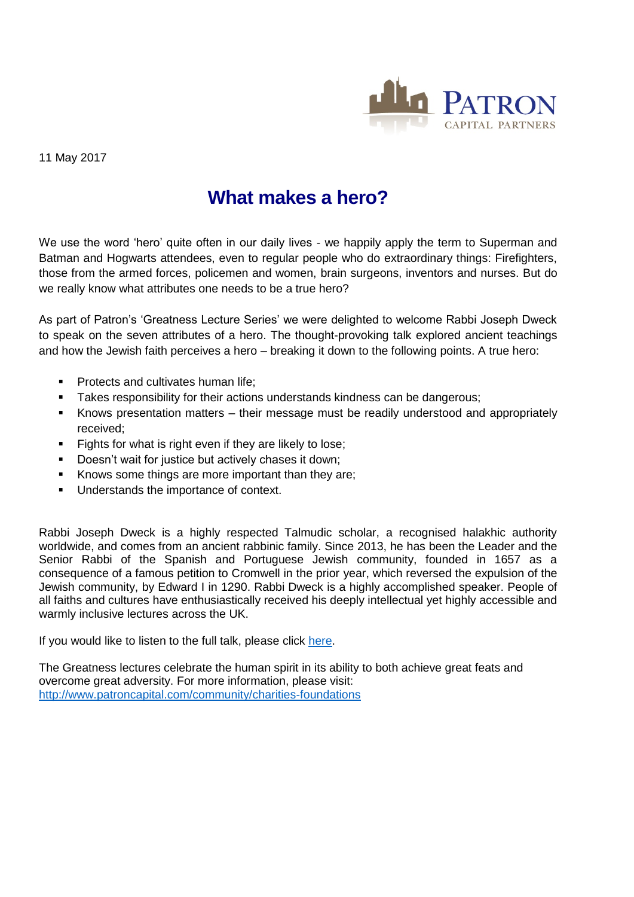

## **What makes a hero?**

We use the word 'hero' quite often in our daily lives - we happily apply the term to Superman and Batman and Hogwarts attendees, even to regular people who do extraordinary things: Firefighters, those from the armed forces, policemen and women, brain surgeons, inventors and nurses. But do we really know what attributes one needs to be a true hero?

As part of Patron's 'Greatness Lecture Series' we were delighted to welcome Rabbi Joseph Dweck to speak on the seven attributes of a hero. The thought-provoking talk explored ancient teachings and how the Jewish faith perceives a hero – breaking it down to the following points. A true hero:

- Protects and cultivates human life;
- Takes responsibility for their actions understands kindness can be dangerous;
- Knows presentation matters their message must be readily understood and appropriately received;
- Fights for what is right even if they are likely to lose;
- Doesn't wait for justice but actively chases it down;
- Knows some things are more important than they are;
- **Understands the importance of context.**

Rabbi Joseph Dweck is a highly respected Talmudic scholar, a recognised halakhic authority worldwide, and comes from an ancient rabbinic family. Since 2013, he has been the Leader and the Senior Rabbi of the Spanish and Portuguese Jewish community, founded in 1657 as a consequence of a famous petition to Cromwell in the prior year, which reversed the expulsion of the Jewish community, by Edward I in 1290. Rabbi Dweck is a highly accomplished speaker. People of all faiths and cultures have enthusiastically received his deeply intellectual yet highly accessible and warmly inclusive lectures across the UK.

If you would like to listen to the full talk, please click [here.](https://www.dropbox.com/s/1s5gboqy50nwhlo/PatronBusinnessProfessionalsHeroes.mp3?dl=0)

The Greatness lectures celebrate the human spirit in its ability to both achieve great feats and overcome great adversity. For more information, please visit: <http://www.patroncapital.com/community/charities-foundations>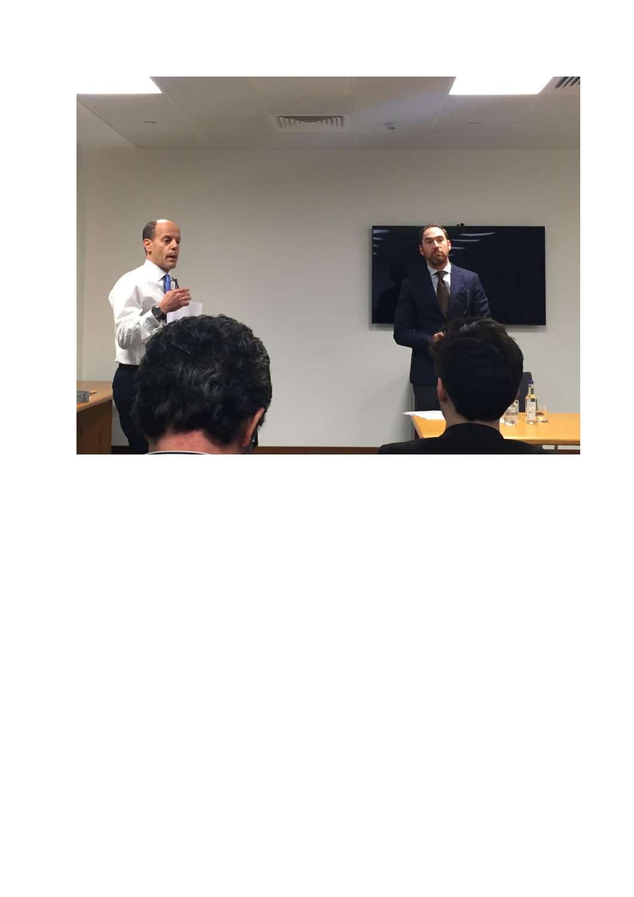